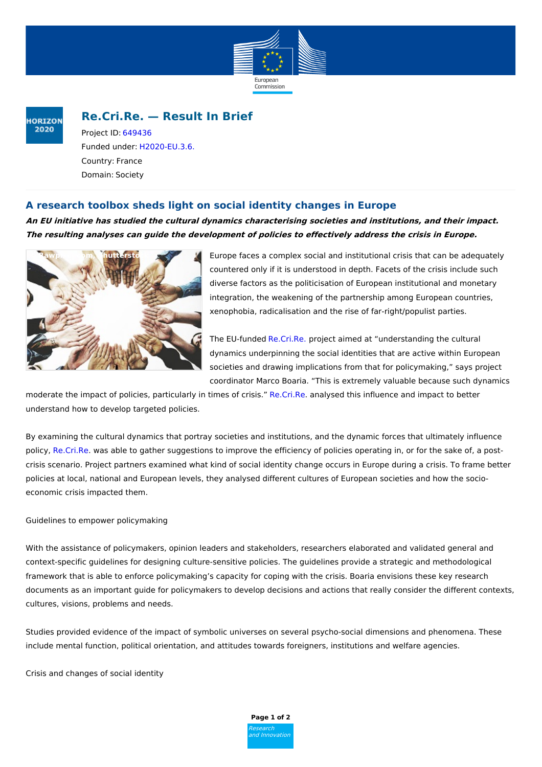

### **HORIZON** 2020

# **Re.Cri.Re. — Result In Brief**

Project ID: [649436](https://cordis.europa.eu/project/rcn/194580_en.html) Funded under: [H2020-EU.3.6.](https://cordis.europa.eu/programme/rcn/664435_en.html) Country: France Domain: Society

## **A research toolbox sheds light on social identity changes in Europe**

**An EU initiative has studied the cultural dynamics characterising societies and institutions, and their impact. The resulting analyses can guide the development of policies to effectively address the crisis in Europe.**



Europe faces a complex social and institutional crisis that can be adequately countered only if it is understood in depth. Facets of the crisis include such diverse factors as the politicisation of European institutional and monetary integration, the weakening of the partnership among European countries, xenophobia, radicalisation and the rise of far-right/populist parties.

The EU-funded [Re.Cri.Re.](http://www.recrire.eu/) project aimed at "understanding the cultural dynamics underpinning the social identities that are active within European societies and drawing implications from that for policymaking," says project coordinator Marco Boaria. "This is extremely valuable because such dynamics

moderate the impact of policies, particularly in times of crisis." [Re.Cri.Re](http://re.cri.re). analysed this influence and impact to better understand how to develop targeted policies.

By examining the cultural dynamics that portray societies and institutions, and the dynamic forces that ultimately influence policy, [Re.Cri.Re](http://re.cri.re). was able to gather suggestions to improve the efficiency of policies operating in, or for the sake of, a postcrisis scenario. Project partners examined what kind of social identity change occurs in Europe during a crisis. To frame better policies at local, national and European levels, they analysed different cultures of European societies and how the socioeconomic crisis impacted them.

### Guidelines to empower policymaking

With the assistance of policymakers, opinion leaders and stakeholders, researchers elaborated and validated general and context-specific guidelines for designing culture-sensitive policies. The guidelines provide a strategic and methodological framework that is able to enforce policymaking's capacity for coping with the crisis. Boaria envisions these key research documents as an important guide for policymakers to develop decisions and actions that really consider the different contexts, cultures, visions, problems and needs.

Studies provided evidence of the impact of symbolic universes on several psycho-social dimensions and phenomena. These include mental function, political orientation, and attitudes towards foreigners, institutions and welfare agencies.

Crisis and changes of social identity